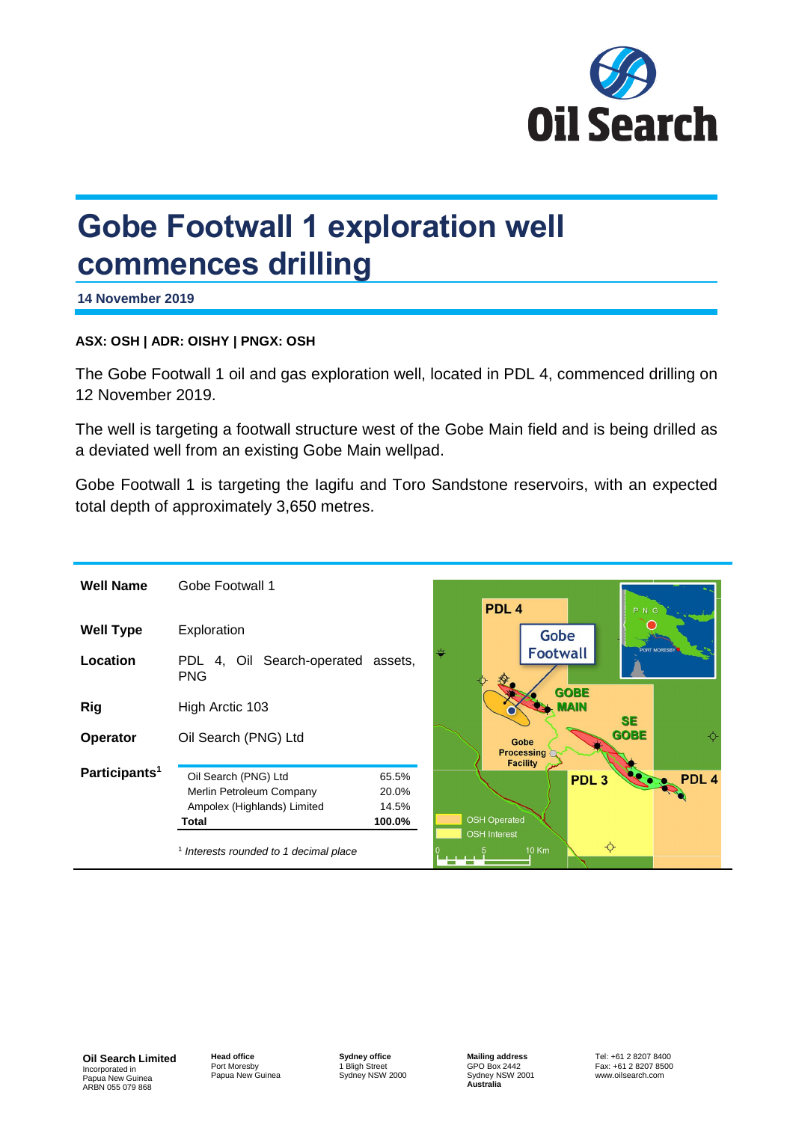

# **Gobe Footwall 1 exploration well commences drilling**

**14 November 2019**

### **ASX: OSH | ADR: OISHY | PNGX: OSH**

The Gobe Footwall 1 oil and gas exploration well, located in PDL 4, commenced drilling on 12 November 2019.

The well is targeting a footwall structure west of the Gobe Main field and is being drilled as a deviated well from an existing Gobe Main wellpad.

Gobe Footwall 1 is targeting the Iagifu and Toro Sandstone reservoirs, with an expected total depth of approximately 3,650 metres.

| <b>Well Name</b>          | Gobe Footwall 1                                                                          |                                   | PDL <sub>4</sub>                             |                 |                  | P N G       |                  |
|---------------------------|------------------------------------------------------------------------------------------|-----------------------------------|----------------------------------------------|-----------------|------------------|-------------|------------------|
| <b>Well Type</b>          | Exploration                                                                              |                                   |                                              | <b>Gobe</b>     |                  |             |                  |
| Location                  | 4, Oil Search-operated assets,<br>PDL.<br><b>PNG</b>                                     |                                   |                                              | <b>Footwall</b> | <b>GOBE</b>      |             | PORT MORESBY     |
| <b>Rig</b>                | High Arctic 103                                                                          |                                   |                                              |                 | MAIN             | <b>SE</b>   |                  |
| Operator                  | Oil Search (PNG) Ltd                                                                     |                                   | Gobe<br><b>Processing</b><br><b>Facility</b> |                 |                  | <b>GOBE</b> |                  |
| Participants <sup>1</sup> | Oil Search (PNG) Ltd<br>Merlin Petroleum Company<br>Ampolex (Highlands) Limited<br>Total | 65.5%<br>20.0%<br>14.5%<br>100.0% | <b>OSH Operated</b><br><b>OSH</b> Interest   |                 | PDL <sub>3</sub> |             | PDL <sub>4</sub> |
|                           | <sup>1</sup> Interests rounded to 1 decimal place                                        |                                   |                                              | <b>10 Km</b>    | $\div$           |             |                  |

**Oil Search Limited** Incorporated in Papua New Guinea ARBN 055 079 868

**Head office** Port Moresby Papua New Guinea

**Sydney office** 1 Bligh Street Sydney NSW 2000

**Mailing address** GPO Box 2442 Sydney NSW 2001 **Australia**

Tel: +61 2 8207 8400 Fax: +61 2 8207 8500 www.oilsearch.com